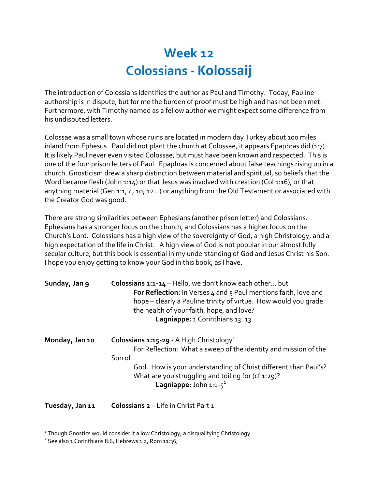## **Week 12 Colossians - Kolossaij**

The introduction of Colossians identifies the author as Paul and Timothy. Today, Pauline authorship is in dispute, but for me the burden of proof must be high and has not been met. Furthermore, with Timothy named as a fellow author we might expect some difference from his undisputed letters.

Colossae was a small town whose ruins are located in modern day Turkey about 100 miles inland from Ephesus. Paul did not plant the church at Colossae, it appears Epaphras did  $(1:7)$ . It is likely Paul never even visited Colossae, but must have been known and respected. This is one of the four prison letters of Paul. Epaphras is concerned about false teachings rising up in a church. Gnosticism drew a sharp distinction between material and spiritual, so beliefs that the Word became flesh (John 1:14) or that Jesus was involved with creation (Col 1:16), or that anything material (Gen 1:1,  $4$ , 10, 12...) or anything from the Old Testament or associated with the Creator God was good.

There are strong similarities between Ephesians (another prison letter) and Colossians. Ephesians has a stronger focus on the church, and Colossians has a higher focus on the Church's Lord. Colossians has a high view of the sovereignty of God, a high Christology, and a high expectation of the life in Christ. A high view of God is not popular in our almost fully secular culture, but this book is essential in my understanding of God and Jesus Christ his Son. I hope you enjoy getting to know your God in this book, as I have.

| Sunday, Jan 9   | <b>Colossians 1:1-14</b> – Hello, we don't know each other but<br>For Reflection: In Verses 4 and 5 Paul mentions faith, love and<br>hope – clearly a Pauline trinity of virtue. How would you grade<br>the health of your faith, hope, and love?<br>Lagniappe: 1 Corinthians 13: 13 |
|-----------------|--------------------------------------------------------------------------------------------------------------------------------------------------------------------------------------------------------------------------------------------------------------------------------------|
| Monday, Jan 10  | <b>Colossians 1:15-29 - A High Christology</b> <sup>1</sup><br>For Reflection: What a sweep of the identity and mission of the<br>Son of                                                                                                                                             |
|                 | God. How is your understanding of Christ different than Paul's?<br>What are you struggling and toiling for (cf 1:29)?<br>Lagniappe: John $1:1-5^2$                                                                                                                                   |
| Tuesday, Jan 11 | <b>Colossians 2</b> – Life in Christ Part 1                                                                                                                                                                                                                                          |

<sup>&</sup>lt;sup>1</sup> Though Gnostics would consider it a low Christology, a disqualifying Christology.

 $2$  See also 1 Corinthians 8:6, Hebrews 1:2, Rom 11:36,